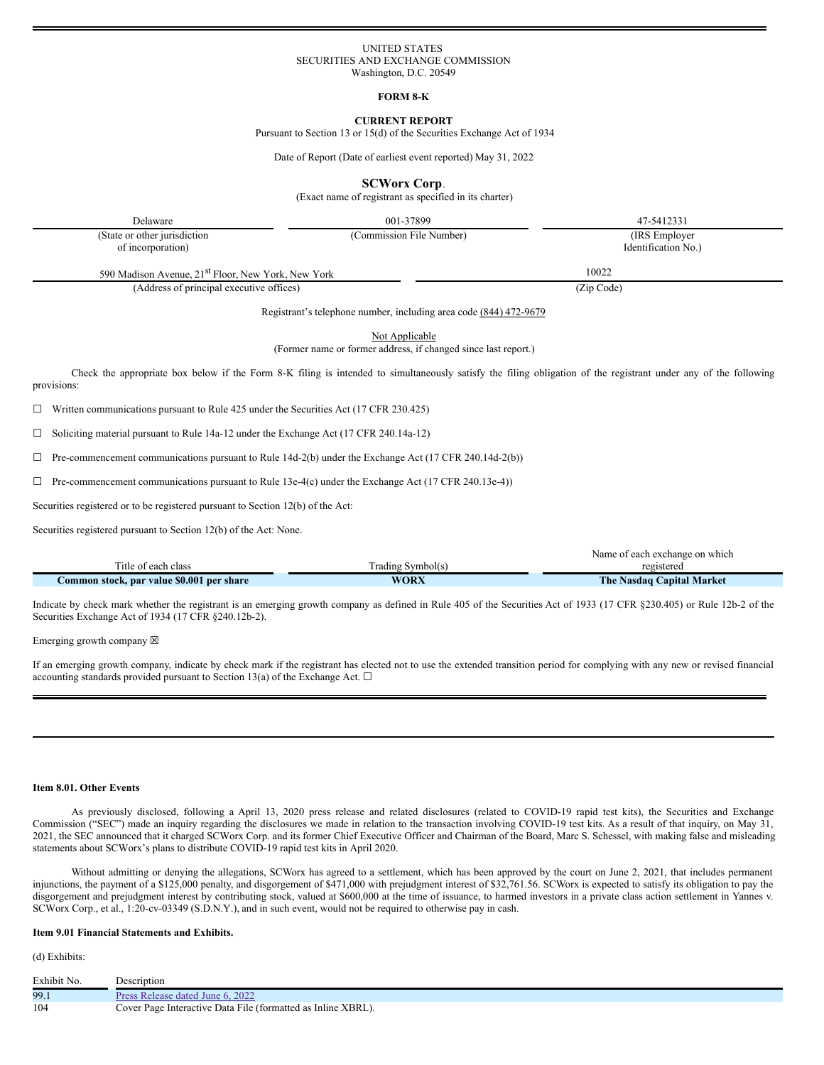## UNITED STATES SECURITIES AND EXCHANGE COMMISSION Washington, D.C. 20549

**FORM 8-K**

# **CURRENT REPORT**

Pursuant to Section 13 or 15(d) of the Securities Exchange Act of 1934

Date of Report (Date of earliest event reported) May 31, 2022

**SCWorx Corp**.

(Exact name of registrant as specified in its charter)

Delaware 47-5412331

(State or other jurisdiction of incorporation)

(Commission File Number) (IRS Employer Identification No.)

590 Madison Avenue, 21<sup>st</sup> Floor, New York, New York 10022

(Address of principal executive offices) (Zip Code)

Registrant's telephone number, including area code (844) 472-9679

Not Applicable (Former name or former address, if changed since last report.)

Check the appropriate box below if the Form 8-K filing is intended to simultaneously satisfy the filing obligation of the registrant under any of the following provisions:

 $\Box$  Written communications pursuant to Rule 425 under the Securities Act (17 CFR 230.425)

 $\Box$  Soliciting material pursuant to Rule 14a-12 under the Exchange Act (17 CFR 240.14a-12)

 $\Box$  Pre-commencement communications pursuant to Rule 14d-2(b) under the Exchange Act (17 CFR 240.14d-2(b))

☐ Pre-commencement communications pursuant to Rule 13e-4(c) under the Exchange Act (17 CFR 240.13e-4))

Securities registered or to be registered pursuant to Section 12(b) of the Act:

Securities registered pursuant to Section 12(b) of the Act: None.

|                                           |                   | Name of each exchange on which |
|-------------------------------------------|-------------------|--------------------------------|
| Title of each class                       | Trading Symbol(s) | registered                     |
| Common stock, par value \$0.001 per share | <b>WORX</b>       | The Nasdaq Capital Market      |

Indicate by check mark whether the registrant is an emerging growth company as defined in Rule 405 of the Securities Act of 1933 (17 CFR §230.405) or Rule 12b-2 of the Securities Exchange Act of 1934 (17 CFR §240.12b-2).

Emerging growth company  $\boxtimes$ 

If an emerging growth company, indicate by check mark if the registrant has elected not to use the extended transition period for complying with any new or revised financial accounting standards provided pursuant to Section 13(a) of the Exchange Act.  $\square$ 

### **Item 8.01. Other Events**

As previously disclosed, following a April 13, 2020 press release and related disclosures (related to COVID-19 rapid test kits), the Securities and Exchange Commission ("SEC") made an inquiry regarding the disclosures we made in relation to the transaction involving COVID-19 test kits. As a result of that inquiry, on May 31, 2021, the SEC announced that it charged SCWorx Corp. and its former Chief Executive Officer and Chairman of the Board, Marc S. Schessel, with making false and misleading statements about SCWorx's plans to distribute COVID-19 rapid test kits in April 2020.

Without admitting or denying the allegations, SCWorx has agreed to a settlement, which has been approved by the court on June 2, 2021, that includes permanent injunctions, the payment of a \$125,000 penalty, and disgorgement of \$471,000 with prejudgment interest of \$32,761.56. SCWorx is expected to satisfy its obligation to pay the disgorgement and prejudgment interest by contributing stock, valued at \$600,000 at the time of issuance, to harmed investors in a private class action settlement in Yannes v. SCWorx Corp., et al., 1:20-cv-03349 (S.D.N.Y.), and in such event, would not be required to otherwise pay in cash.

# **Item 9.01 Financial Statements and Exhibits.**

(d) Exhibits:

| Exhibit No. | Description                                                  |
|-------------|--------------------------------------------------------------|
| 99.1        | Press Release dated June 6, 2022                             |
| 104         | Cover Page Interactive Data File (formatted as Inline XBRL). |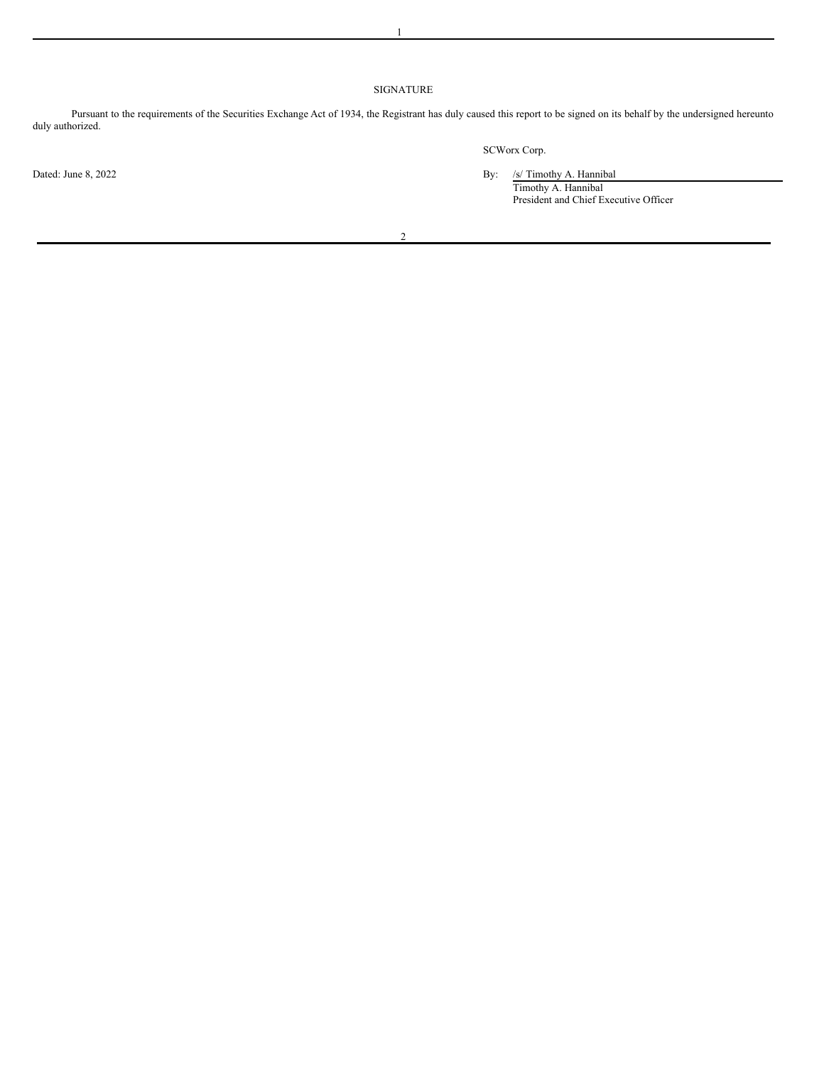# SIGNATURE

Pursuant to the requirements of the Securities Exchange Act of 1934, the Registrant has duly caused this report to be signed on its behalf by the undersigned hereunto duly authorized.

2

SCWorx Corp.

Dated: June 8, 2022 **By:** /s/ Timothy A. Hannibal

Timothy A. Hannibal President and Chief Executive Officer